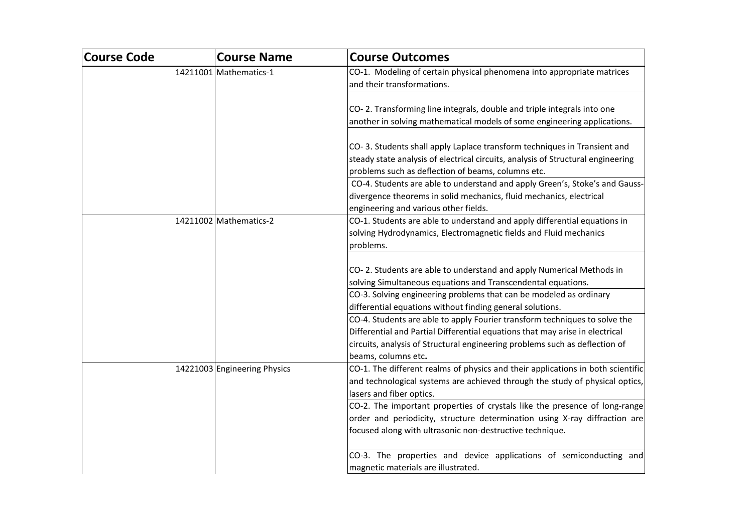| Course Code | <b>Course Name</b>           | <b>Course Outcomes</b>                                                           |
|-------------|------------------------------|----------------------------------------------------------------------------------|
|             | 14211001 Mathematics-1       | CO-1. Modeling of certain physical phenomena into appropriate matrices           |
|             |                              | and their transformations.                                                       |
|             |                              |                                                                                  |
|             |                              | CO-2. Transforming line integrals, double and triple integrals into one          |
|             |                              | another in solving mathematical models of some engineering applications.         |
|             |                              |                                                                                  |
|             |                              | CO-3. Students shall apply Laplace transform techniques in Transient and         |
|             |                              | steady state analysis of electrical circuits, analysis of Structural engineering |
|             |                              | problems such as deflection of beams, columns etc.                               |
|             |                              | CO-4. Students are able to understand and apply Green's, Stoke's and Gauss-      |
|             |                              | divergence theorems in solid mechanics, fluid mechanics, electrical              |
|             |                              | engineering and various other fields.                                            |
|             | 14211002 Mathematics-2       | CO-1. Students are able to understand and apply differential equations in        |
|             |                              | solving Hydrodynamics, Electromagnetic fields and Fluid mechanics                |
|             |                              | problems.                                                                        |
|             |                              |                                                                                  |
|             |                              | CO-2. Students are able to understand and apply Numerical Methods in             |
|             |                              | solving Simultaneous equations and Transcendental equations.                     |
|             |                              | CO-3. Solving engineering problems that can be modeled as ordinary               |
|             |                              | differential equations without finding general solutions.                        |
|             |                              | CO-4. Students are able to apply Fourier transform techniques to solve the       |
|             |                              | Differential and Partial Differential equations that may arise in electrical     |
|             |                              | circuits, analysis of Structural engineering problems such as deflection of      |
|             |                              | beams, columns etc.                                                              |
|             | 14221003 Engineering Physics | CO-1. The different realms of physics and their applications in both scientific  |
|             |                              | and technological systems are achieved through the study of physical optics,     |
|             |                              | lasers and fiber optics.                                                         |
|             |                              | CO-2. The important properties of crystals like the presence of long-range       |
|             |                              | order and periodicity, structure determination using X-ray diffraction are       |
|             |                              | focused along with ultrasonic non-destructive technique.                         |
|             |                              | CO-3. The properties and device applications of semiconducting and               |
|             |                              | magnetic materials are illustrated.                                              |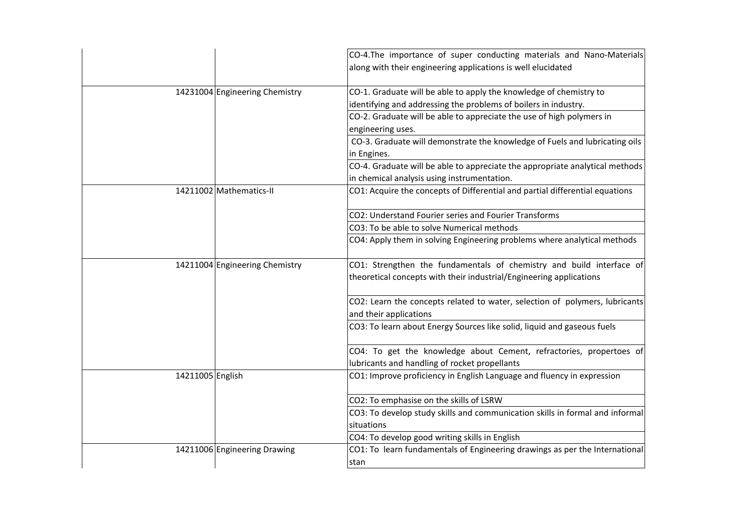|                                | CO-4.The importance of super conducting materials and Nano-Materials<br>along with their engineering applications is well elucidated        |
|--------------------------------|---------------------------------------------------------------------------------------------------------------------------------------------|
| 14231004 Engineering Chemistry | CO-1. Graduate will be able to apply the knowledge of chemistry to                                                                          |
|                                | identifying and addressing the problems of boilers in industry.                                                                             |
|                                | CO-2. Graduate will be able to appreciate the use of high polymers in<br>engineering uses.                                                  |
|                                | CO-3. Graduate will demonstrate the knowledge of Fuels and lubricating oils                                                                 |
|                                | in Engines.                                                                                                                                 |
|                                | CO-4. Graduate will be able to appreciate the appropriate analytical methods                                                                |
|                                | in chemical analysis using instrumentation.                                                                                                 |
| 14211002 Mathematics-II        | CO1: Acquire the concepts of Differential and partial differential equations                                                                |
|                                | CO2: Understand Fourier series and Fourier Transforms                                                                                       |
|                                | CO3: To be able to solve Numerical methods                                                                                                  |
|                                | CO4: Apply them in solving Engineering problems where analytical methods                                                                    |
| 14211004 Engineering Chemistry | CO1: Strengthen the fundamentals of chemistry and build interface of<br>theoretical concepts with their industrial/Engineering applications |
|                                | CO2: Learn the concepts related to water, selection of polymers, lubricants<br>and their applications                                       |
|                                | CO3: To learn about Energy Sources like solid, liquid and gaseous fuels                                                                     |
|                                | CO4: To get the knowledge about Cement, refractories, propertoes of<br>lubricants and handling of rocket propellants                        |
| 14211005 English               | CO1: Improve proficiency in English Language and fluency in expression                                                                      |
|                                | CO2: To emphasise on the skills of LSRW                                                                                                     |
|                                | CO3: To develop study skills and communication skills in formal and informal                                                                |
|                                | situations                                                                                                                                  |
|                                | CO4: To develop good writing skills in English                                                                                              |
| 14211006 Engineering Drawing   | CO1: To learn fundamentals of Engineering drawings as per the International                                                                 |
|                                | stan                                                                                                                                        |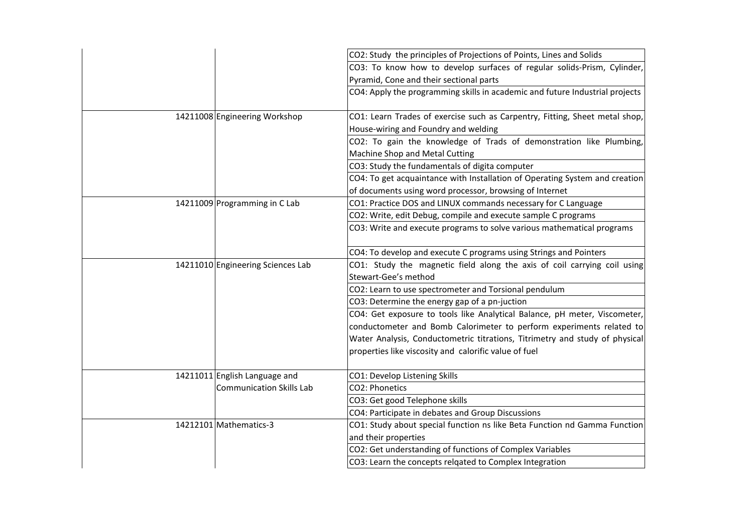|                                   | CO2: Study the principles of Projections of Points, Lines and Solids                                                                              |
|-----------------------------------|---------------------------------------------------------------------------------------------------------------------------------------------------|
|                                   | CO3: To know how to develop surfaces of regular solids-Prism, Cylinder,                                                                           |
|                                   | Pyramid, Cone and their sectional parts                                                                                                           |
|                                   | CO4: Apply the programming skills in academic and future Industrial projects                                                                      |
| 14211008 Engineering Workshop     | CO1: Learn Trades of exercise such as Carpentry, Fitting, Sheet metal shop,                                                                       |
|                                   | House-wiring and Foundry and welding                                                                                                              |
|                                   | CO2: To gain the knowledge of Trads of demonstration like Plumbing,                                                                               |
|                                   | Machine Shop and Metal Cutting                                                                                                                    |
|                                   | CO3: Study the fundamentals of digita computer                                                                                                    |
|                                   | CO4: To get acquaintance with Installation of Operating System and creation                                                                       |
|                                   | of documents using word processor, browsing of Internet                                                                                           |
| 14211009 Programming in C Lab     | CO1: Practice DOS and LINUX commands necessary for C Language                                                                                     |
|                                   | CO2: Write, edit Debug, compile and execute sample C programs                                                                                     |
|                                   | CO3: Write and execute programs to solve various mathematical programs                                                                            |
|                                   | CO4: To develop and execute C programs using Strings and Pointers                                                                                 |
| 14211010 Engineering Sciences Lab | CO1: Study the magnetic field along the axis of coil carrying coil using                                                                          |
|                                   | Stewart-Gee's method                                                                                                                              |
|                                   | CO2: Learn to use spectrometer and Torsional pendulum                                                                                             |
|                                   | CO3: Determine the energy gap of a pn-juction                                                                                                     |
|                                   | CO4: Get exposure to tools like Analytical Balance, pH meter, Viscometer,<br>conductometer and Bomb Calorimeter to perform experiments related to |
|                                   | Water Analysis, Conductometric titrations, Titrimetry and study of physical<br>properties like viscosity and calorific value of fuel              |
| 14211011 English Language and     | CO1: Develop Listening Skills                                                                                                                     |
| <b>Communication Skills Lab</b>   | CO2: Phonetics                                                                                                                                    |
|                                   | CO3: Get good Telephone skills                                                                                                                    |
|                                   | CO4: Participate in debates and Group Discussions                                                                                                 |
| 14212101 Mathematics-3            | CO1: Study about special function ns like Beta Function nd Gamma Function                                                                         |
|                                   | and their properties                                                                                                                              |
|                                   | CO2: Get understanding of functions of Complex Variables                                                                                          |
|                                   | CO3: Learn the concepts relgated to Complex Integration                                                                                           |
|                                   |                                                                                                                                                   |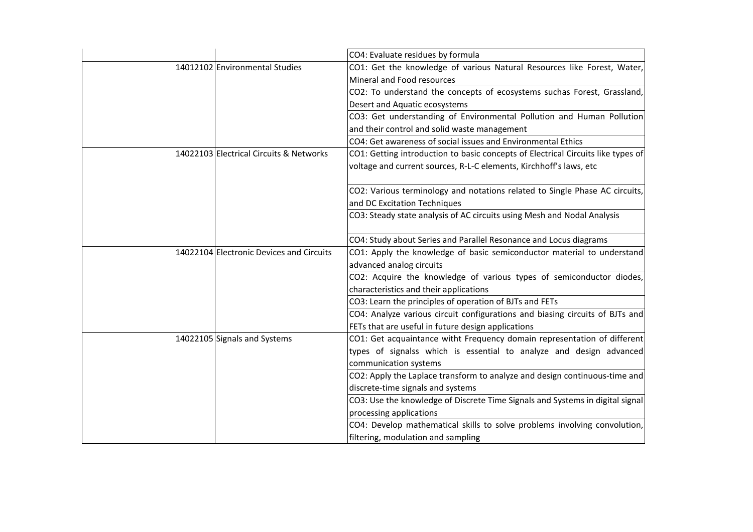|                                          | CO4: Evaluate residues by formula                                                |
|------------------------------------------|----------------------------------------------------------------------------------|
| 14012102 Environmental Studies           | CO1: Get the knowledge of various Natural Resources like Forest, Water,          |
|                                          | Mineral and Food resources                                                       |
|                                          | CO2: To understand the concepts of ecosystems suchas Forest, Grassland,          |
|                                          | Desert and Aquatic ecosystems                                                    |
|                                          | CO3: Get understanding of Environmental Pollution and Human Pollution            |
|                                          | and their control and solid waste management                                     |
|                                          | CO4: Get awareness of social issues and Environmental Ethics                     |
| 14022103 Electrical Circuits & Networks  | CO1: Getting introduction to basic concepts of Electrical Circuits like types of |
|                                          | voltage and current sources, R-L-C elements, Kirchhoff's laws, etc               |
|                                          |                                                                                  |
|                                          | CO2: Various terminology and notations related to Single Phase AC circuits,      |
|                                          | and DC Excitation Techniques                                                     |
|                                          | CO3: Steady state analysis of AC circuits using Mesh and Nodal Analysis          |
|                                          |                                                                                  |
|                                          | CO4: Study about Series and Parallel Resonance and Locus diagrams                |
| 14022104 Electronic Devices and Circuits | CO1: Apply the knowledge of basic semiconductor material to understand           |
|                                          | advanced analog circuits                                                         |
|                                          | CO2: Acquire the knowledge of various types of semiconductor diodes,             |
|                                          | characteristics and their applications                                           |
|                                          | CO3: Learn the principles of operation of BJTs and FETs                          |
|                                          | CO4: Analyze various circuit configurations and biasing circuits of BJTs and     |
|                                          | FETs that are useful in future design applications                               |
| 14022105 Signals and Systems             | CO1: Get acquaintance witht Frequency domain representation of different         |
|                                          | types of signalss which is essential to analyze and design advanced              |
|                                          | communication systems                                                            |
|                                          | CO2: Apply the Laplace transform to analyze and design continuous-time and       |
|                                          | discrete-time signals and systems                                                |
|                                          | CO3: Use the knowledge of Discrete Time Signals and Systems in digital signal    |
|                                          | processing applications                                                          |
|                                          | CO4: Develop mathematical skills to solve problems involving convolution,        |
|                                          | filtering, modulation and sampling                                               |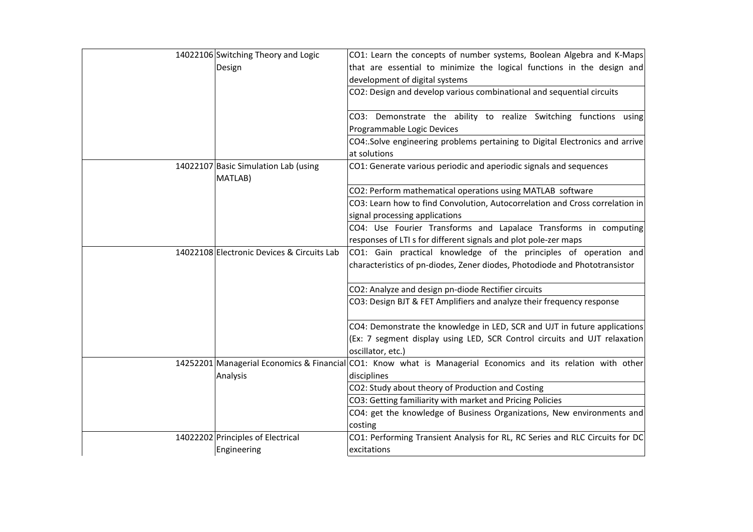| 14022106 Switching Theory and Logic             | CO1: Learn the concepts of number systems, Boolean Algebra and K-Maps                                        |
|-------------------------------------------------|--------------------------------------------------------------------------------------------------------------|
| Design                                          | that are essential to minimize the logical functions in the design and                                       |
|                                                 | development of digital systems                                                                               |
|                                                 | CO2: Design and develop various combinational and sequential circuits                                        |
|                                                 |                                                                                                              |
|                                                 | CO3: Demonstrate the ability to realize Switching functions using                                            |
|                                                 | Programmable Logic Devices                                                                                   |
|                                                 | CO4: Solve engineering problems pertaining to Digital Electronics and arrive<br>at solutions                 |
| 14022107 Basic Simulation Lab (using<br>MATLAB) | CO1: Generate various periodic and aperiodic signals and sequences                                           |
|                                                 | CO2: Perform mathematical operations using MATLAB software                                                   |
|                                                 | CO3: Learn how to find Convolution, Autocorrelation and Cross correlation in                                 |
|                                                 | signal processing applications                                                                               |
|                                                 | CO4: Use Fourier Transforms and Lapalace Transforms in computing                                             |
|                                                 | responses of LTI s for different signals and plot pole-zer maps                                              |
| 14022108 Electronic Devices & Circuits Lab      | CO1: Gain practical knowledge of the principles of operation and                                             |
|                                                 | characteristics of pn-diodes, Zener diodes, Photodiode and Phototransistor                                   |
|                                                 | CO2: Analyze and design pn-diode Rectifier circuits                                                          |
|                                                 | CO3: Design BJT & FET Amplifiers and analyze their frequency response                                        |
|                                                 | CO4: Demonstrate the knowledge in LED, SCR and UJT in future applications                                    |
|                                                 | (Ex: 7 segment display using LED, SCR Control circuits and UJT relaxation<br>oscillator, etc.)               |
|                                                 | 14252201 Managerial Economics & Financial CO1: Know what is Managerial Economics and its relation with other |
| Analysis                                        | disciplines                                                                                                  |
|                                                 | CO2: Study about theory of Production and Costing                                                            |
|                                                 | CO3: Getting familiarity with market and Pricing Policies                                                    |
|                                                 | CO4: get the knowledge of Business Organizations, New environments and                                       |
|                                                 | costing                                                                                                      |
| 14022202 Principles of Electrical               | CO1: Performing Transient Analysis for RL, RC Series and RLC Circuits for DC                                 |
| Engineering                                     | excitations                                                                                                  |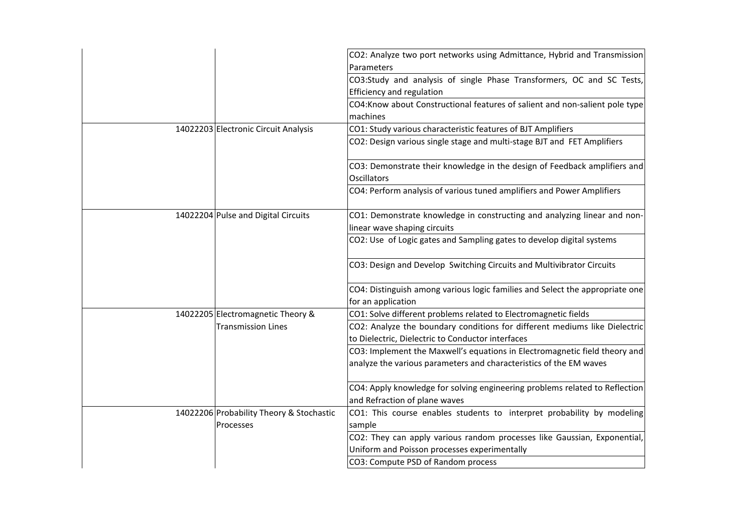| 14022203 Electronic Circuit Analysis                           | CO2: Analyze two port networks using Admittance, Hybrid and Transmission<br>Parameters<br>CO3:Study and analysis of single Phase Transformers, OC and SC Tests,<br>Efficiency and regulation<br>CO4:Know about Constructional features of salient and non-salient pole type<br>machines<br>CO1: Study various characteristic features of BJT Amplifiers<br>CO2: Design various single stage and multi-stage BJT and FET Amplifiers                                     |
|----------------------------------------------------------------|------------------------------------------------------------------------------------------------------------------------------------------------------------------------------------------------------------------------------------------------------------------------------------------------------------------------------------------------------------------------------------------------------------------------------------------------------------------------|
|                                                                | CO3: Demonstrate their knowledge in the design of Feedback amplifiers and<br>Oscillators<br>CO4: Perform analysis of various tuned amplifiers and Power Amplifiers                                                                                                                                                                                                                                                                                                     |
| 14022204 Pulse and Digital Circuits                            | CO1: Demonstrate knowledge in constructing and analyzing linear and non-<br>linear wave shaping circuits                                                                                                                                                                                                                                                                                                                                                               |
|                                                                | CO2: Use of Logic gates and Sampling gates to develop digital systems<br>CO3: Design and Develop Switching Circuits and Multivibrator Circuits                                                                                                                                                                                                                                                                                                                         |
|                                                                | CO4: Distinguish among various logic families and Select the appropriate one<br>for an application                                                                                                                                                                                                                                                                                                                                                                     |
| 14022205 Electromagnetic Theory &<br><b>Transmission Lines</b> | CO1: Solve different problems related to Electromagnetic fields<br>CO2: Analyze the boundary conditions for different mediums like Dielectric<br>to Dielectric, Dielectric to Conductor interfaces<br>CO3: Implement the Maxwell's equations in Electromagnetic field theory and<br>analyze the various parameters and characteristics of the EM waves<br>CO4: Apply knowledge for solving engineering problems related to Reflection<br>and Refraction of plane waves |
| 14022206 Probability Theory & Stochastic<br>Processes          | CO1: This course enables students to interpret probability by modeling<br>sample<br>CO2: They can apply various random processes like Gaussian, Exponential,<br>Uniform and Poisson processes experimentally<br>CO3: Compute PSD of Random process                                                                                                                                                                                                                     |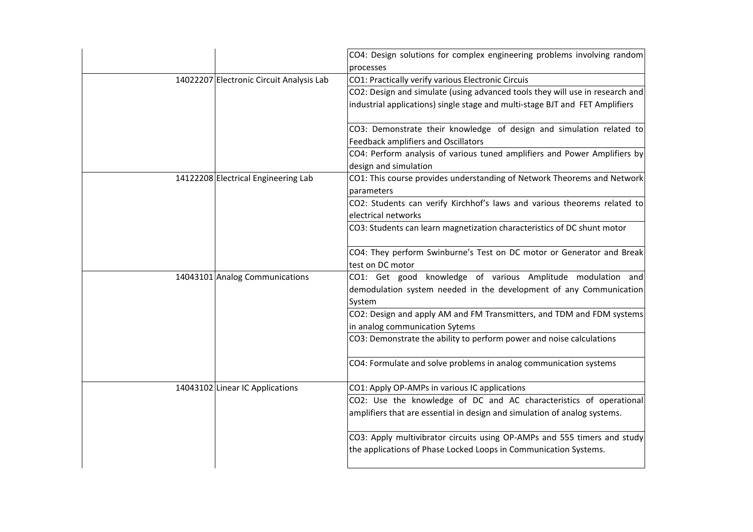|                                          | CO4: Design solutions for complex engineering problems involving random<br>processes                                                                         |
|------------------------------------------|--------------------------------------------------------------------------------------------------------------------------------------------------------------|
| 14022207 Electronic Circuit Analysis Lab | CO1: Practically verify various Electronic Circuis                                                                                                           |
|                                          | CO2: Design and simulate (using advanced tools they will use in research and<br>industrial applications) single stage and multi-stage BJT and FET Amplifiers |
|                                          | CO3: Demonstrate their knowledge of design and simulation related to<br>Feedback amplifiers and Oscillators                                                  |
|                                          | CO4: Perform analysis of various tuned amplifiers and Power Amplifiers by<br>design and simulation                                                           |
| 14122208 Electrical Engineering Lab      | CO1: This course provides understanding of Network Theorems and Network<br>parameters                                                                        |
|                                          | CO2: Students can verify Kirchhof's laws and various theorems related to<br>electrical networks                                                              |
|                                          | CO3: Students can learn magnetization characteristics of DC shunt motor                                                                                      |
|                                          | CO4: They perform Swinburne's Test on DC motor or Generator and Break<br>test on DC motor                                                                    |
| 14043101 Analog Communications           | CO1: Get good knowledge of various Amplitude modulation and<br>demodulation system needed in the development of any Communication<br>System                  |
|                                          | CO2: Design and apply AM and FM Transmitters, and TDM and FDM systems<br>in analog communication Sytems                                                      |
|                                          | CO3: Demonstrate the ability to perform power and noise calculations                                                                                         |
|                                          | CO4: Formulate and solve problems in analog communication systems                                                                                            |
| 14043102 Linear IC Applications          | CO1: Apply OP-AMPs in various IC applications                                                                                                                |
|                                          | CO2: Use the knowledge of DC and AC characteristics of operational<br>amplifiers that are essential in design and simulation of analog systems.              |
|                                          | CO3: Apply multivibrator circuits using OP-AMPs and 555 timers and study<br>the applications of Phase Locked Loops in Communication Systems.                 |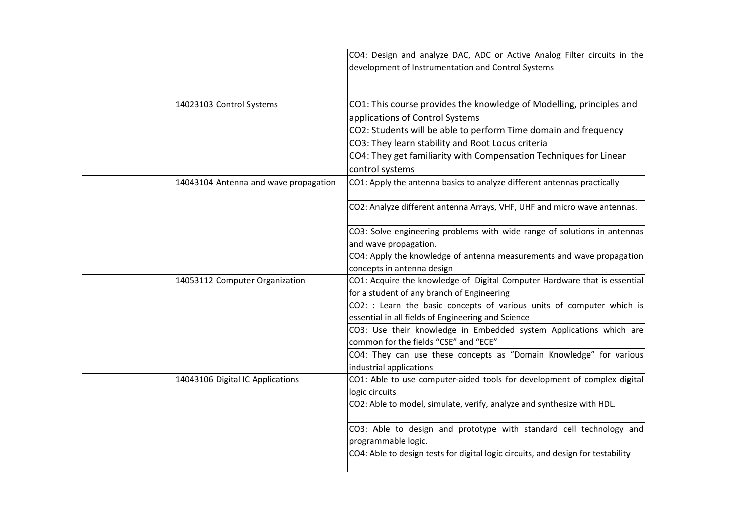|                                       | CO4: Design and analyze DAC, ADC or Active Analog Filter circuits in the<br>development of Instrumentation and Control Systems |
|---------------------------------------|--------------------------------------------------------------------------------------------------------------------------------|
| 14023103 Control Systems              | CO1: This course provides the knowledge of Modelling, principles and<br>applications of Control Systems                        |
|                                       | CO2: Students will be able to perform Time domain and frequency                                                                |
|                                       | CO3: They learn stability and Root Locus criteria                                                                              |
|                                       | CO4: They get familiarity with Compensation Techniques for Linear<br>control systems                                           |
| 14043104 Antenna and wave propagation | CO1: Apply the antenna basics to analyze different antennas practically                                                        |
|                                       | CO2: Analyze different antenna Arrays, VHF, UHF and micro wave antennas.                                                       |
|                                       | CO3: Solve engineering problems with wide range of solutions in antennas                                                       |
|                                       | and wave propagation.                                                                                                          |
|                                       | CO4: Apply the knowledge of antenna measurements and wave propagation                                                          |
|                                       | concepts in antenna design                                                                                                     |
| 14053112 Computer Organization        | CO1: Acquire the knowledge of Digital Computer Hardware that is essential                                                      |
|                                       | for a student of any branch of Engineering                                                                                     |
|                                       | CO2: : Learn the basic concepts of various units of computer which is<br>essential in all fields of Engineering and Science    |
|                                       | CO3: Use their knowledge in Embedded system Applications which are<br>common for the fields "CSE" and "ECE"                    |
|                                       | CO4: They can use these concepts as "Domain Knowledge" for various                                                             |
|                                       | industrial applications                                                                                                        |
| 14043106 Digital IC Applications      | CO1: Able to use computer-aided tools for development of complex digital                                                       |
|                                       | logic circuits                                                                                                                 |
|                                       | CO2: Able to model, simulate, verify, analyze and synthesize with HDL.                                                         |
|                                       | CO3: Able to design and prototype with standard cell technology and<br>programmable logic.                                     |
|                                       | CO4: Able to design tests for digital logic circuits, and design for testability                                               |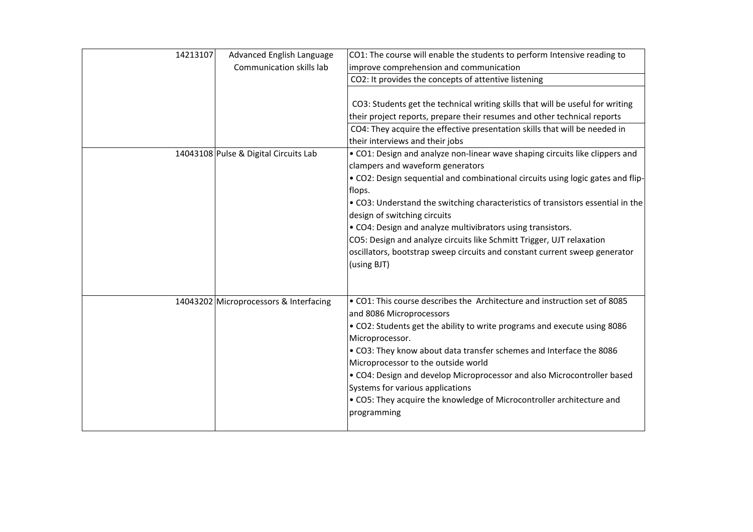| 14213107 | Advanced English Language<br>Communication skills lab | CO1: The course will enable the students to perform Intensive reading to<br>improve comprehension and communication                                                                                                                                                                                                                                                                                                                                                                   |
|----------|-------------------------------------------------------|---------------------------------------------------------------------------------------------------------------------------------------------------------------------------------------------------------------------------------------------------------------------------------------------------------------------------------------------------------------------------------------------------------------------------------------------------------------------------------------|
|          |                                                       | CO2: It provides the concepts of attentive listening                                                                                                                                                                                                                                                                                                                                                                                                                                  |
|          |                                                       | CO3: Students get the technical writing skills that will be useful for writing<br>their project reports, prepare their resumes and other technical reports<br>CO4: They acquire the effective presentation skills that will be needed in<br>their interviews and their jobs                                                                                                                                                                                                           |
|          | 14043108 Pulse & Digital Circuits Lab                 | • CO1: Design and analyze non-linear wave shaping circuits like clippers and                                                                                                                                                                                                                                                                                                                                                                                                          |
|          |                                                       | clampers and waveform generators<br>. CO2: Design sequential and combinational circuits using logic gates and flip-<br>flops.<br>• CO3: Understand the switching characteristics of transistors essential in the<br>design of switching circuits<br>• CO4: Design and analyze multivibrators using transistors.<br>CO5: Design and analyze circuits like Schmitt Trigger, UJT relaxation<br>oscillators, bootstrap sweep circuits and constant current sweep generator<br>(using BJT) |
|          | 14043202 Microprocessors & Interfacing                | . CO1: This course describes the Architecture and instruction set of 8085<br>and 8086 Microprocessors<br>. CO2: Students get the ability to write programs and execute using 8086                                                                                                                                                                                                                                                                                                     |
|          |                                                       | Microprocessor.<br>. CO3: They know about data transfer schemes and Interface the 8086<br>Microprocessor to the outside world<br>• CO4: Design and develop Microprocessor and also Microcontroller based<br>Systems for various applications<br>• CO5: They acquire the knowledge of Microcontroller architecture and<br>programming                                                                                                                                                  |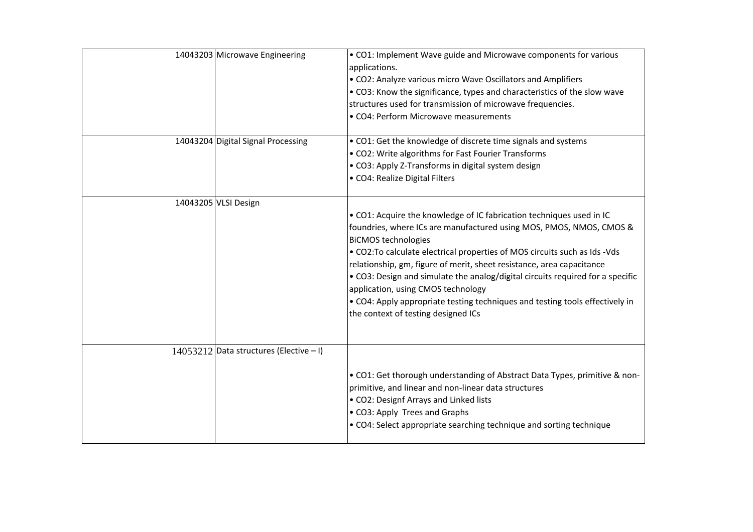| 14043203 Microwave Engineering            | • CO1: Implement Wave guide and Microwave components for various<br>applications.<br>• CO2: Analyze various micro Wave Oscillators and Amplifiers<br>• CO3: Know the significance, types and characteristics of the slow wave<br>structures used for transmission of microwave frequencies.<br>• CO4: Perform Microwave measurements                                                                                                                                                                                                                                             |
|-------------------------------------------|----------------------------------------------------------------------------------------------------------------------------------------------------------------------------------------------------------------------------------------------------------------------------------------------------------------------------------------------------------------------------------------------------------------------------------------------------------------------------------------------------------------------------------------------------------------------------------|
| 14043204 Digital Signal Processing        | • CO1: Get the knowledge of discrete time signals and systems<br>• CO2: Write algorithms for Fast Fourier Transforms<br>• CO3: Apply Z-Transforms in digital system design<br>• CO4: Realize Digital Filters                                                                                                                                                                                                                                                                                                                                                                     |
| 14043205 VLSI Design                      | . CO1: Acquire the knowledge of IC fabrication techniques used in IC<br>foundries, where ICs are manufactured using MOS, PMOS, NMOS, CMOS &<br><b>BiCMOS technologies</b><br>. CO2: To calculate electrical properties of MOS circuits such as Ids - Vds<br>relationship, gm, figure of merit, sheet resistance, area capacitance<br>. CO3: Design and simulate the analog/digital circuits required for a specific<br>application, using CMOS technology<br>• CO4: Apply appropriate testing techniques and testing tools effectively in<br>the context of testing designed ICs |
| $14053212$ Data structures (Elective - I) | • CO1: Get thorough understanding of Abstract Data Types, primitive & non-<br>primitive, and linear and non-linear data structures<br>• CO2: Designf Arrays and Linked lists<br>• CO3: Apply Trees and Graphs<br>• CO4: Select appropriate searching technique and sorting technique                                                                                                                                                                                                                                                                                             |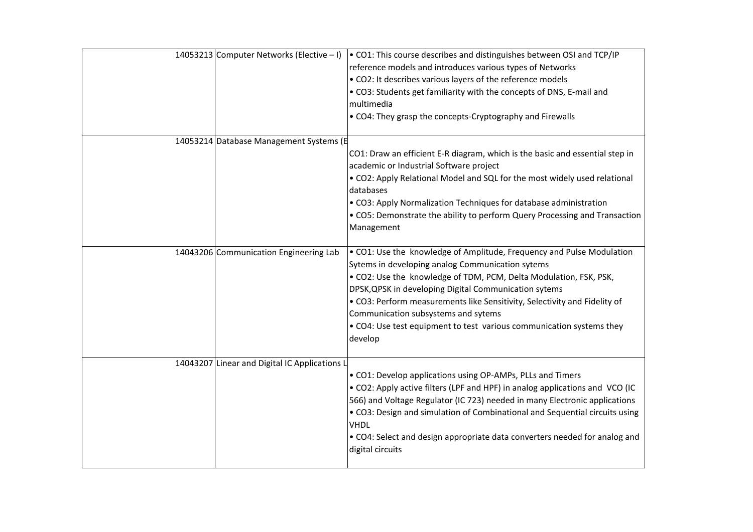| 14053213 Computer Networks (Elective - I)     | • CO1: This course describes and distinguishes between OSI and TCP/IP<br>reference models and introduces various types of Networks<br>. CO2: It describes various layers of the reference models<br>. CO3: Students get familiarity with the concepts of DNS, E-mail and<br>multimedia<br>• CO4: They grasp the concepts-Cryptography and Firewalls                                                                                                            |
|-----------------------------------------------|----------------------------------------------------------------------------------------------------------------------------------------------------------------------------------------------------------------------------------------------------------------------------------------------------------------------------------------------------------------------------------------------------------------------------------------------------------------|
| 14053214 Database Management Systems (E       | CO1: Draw an efficient E-R diagram, which is the basic and essential step in<br>academic or Industrial Software project<br>. CO2: Apply Relational Model and SQL for the most widely used relational<br>databases<br>• CO3: Apply Normalization Techniques for database administration<br>• CO5: Demonstrate the ability to perform Query Processing and Transaction<br>Management                                                                             |
| 14043206 Communication Engineering Lab        | • CO1: Use the knowledge of Amplitude, Frequency and Pulse Modulation<br>Sytems in developing analog Communication sytems<br>. CO2: Use the knowledge of TDM, PCM, Delta Modulation, FSK, PSK,<br>DPSK, QPSK in developing Digital Communication sytems<br>. CO3: Perform measurements like Sensitivity, Selectivity and Fidelity of<br>Communication subsystems and sytems<br>• CO4: Use test equipment to test various communication systems they<br>develop |
| 14043207 Linear and Digital IC Applications L | • CO1: Develop applications using OP-AMPs, PLLs and Timers<br>. CO2: Apply active filters (LPF and HPF) in analog applications and VCO (IC<br>566) and Voltage Regulator (IC 723) needed in many Electronic applications<br>. CO3: Design and simulation of Combinational and Sequential circuits using<br><b>VHDL</b><br>• CO4: Select and design appropriate data converters needed for analog and<br>digital circuits                                       |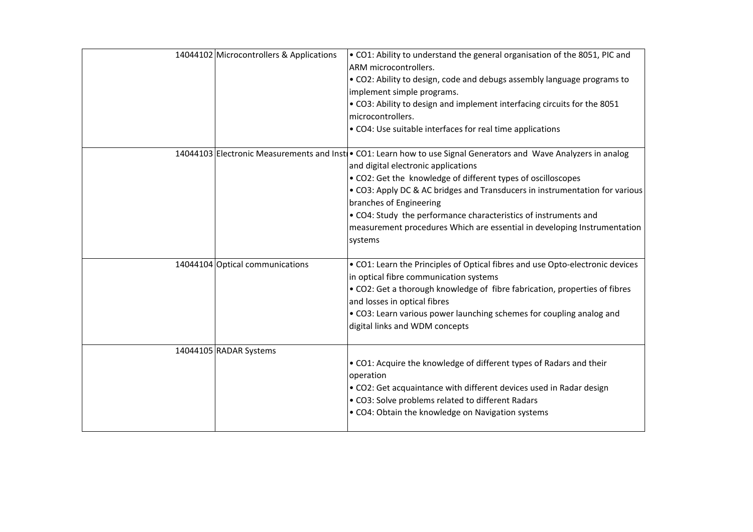| 14044102 Microcontrollers & Applications | . CO1: Ability to understand the general organisation of the 8051, PIC and<br>ARM microcontrollers.<br>. CO2: Ability to design, code and debugs assembly language programs to<br>implement simple programs.<br>. CO3: Ability to design and implement interfacing circuits for the 8051<br>microcontrollers.<br>• CO4: Use suitable interfaces for real time applications                                                                                                                   |
|------------------------------------------|----------------------------------------------------------------------------------------------------------------------------------------------------------------------------------------------------------------------------------------------------------------------------------------------------------------------------------------------------------------------------------------------------------------------------------------------------------------------------------------------|
|                                          | 14044103 Electronic Measurements and Insti • CO1: Learn how to use Signal Generators and Wave Analyzers in analog<br>and digital electronic applications<br>• CO2: Get the knowledge of different types of oscilloscopes<br>. CO3: Apply DC & AC bridges and Transducers in instrumentation for various<br>branches of Engineering<br>• CO4: Study the performance characteristics of instruments and<br>measurement procedures Which are essential in developing Instrumentation<br>systems |
| 14044104 Optical communications          | • CO1: Learn the Principles of Optical fibres and use Opto-electronic devices<br>in optical fibre communication systems<br>• CO2: Get a thorough knowledge of fibre fabrication, properties of fibres<br>and losses in optical fibres<br>• CO3: Learn various power launching schemes for coupling analog and<br>digital links and WDM concepts                                                                                                                                              |
| 14044105 RADAR Systems                   | . CO1: Acquire the knowledge of different types of Radars and their<br>operation<br>• CO2: Get acquaintance with different devices used in Radar design<br>• CO3: Solve problems related to different Radars<br>• CO4: Obtain the knowledge on Navigation systems                                                                                                                                                                                                                            |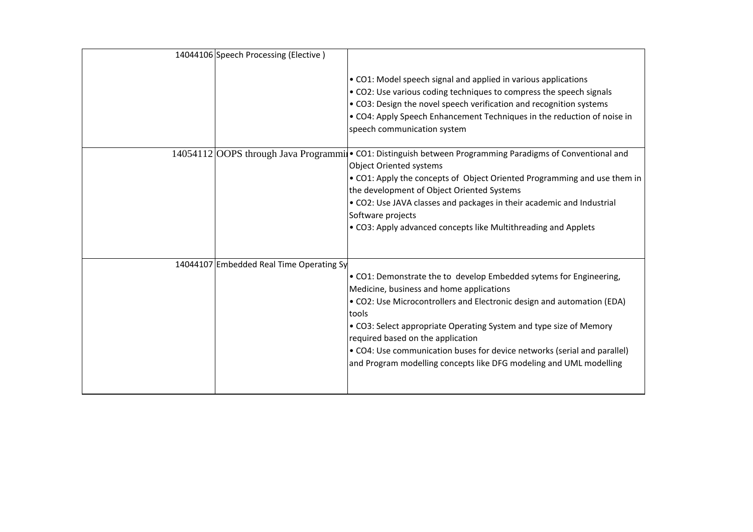| 14044106 Speech Processing (Elective)    |                                                                                                                                                                                                                                                                                                                                                                                                                                                                |
|------------------------------------------|----------------------------------------------------------------------------------------------------------------------------------------------------------------------------------------------------------------------------------------------------------------------------------------------------------------------------------------------------------------------------------------------------------------------------------------------------------------|
|                                          | • CO1: Model speech signal and applied in various applications<br>• CO2: Use various coding techniques to compress the speech signals<br>• CO3: Design the novel speech verification and recognition systems<br>• CO4: Apply Speech Enhancement Techniques in the reduction of noise in<br>speech communication system                                                                                                                                         |
|                                          | 14054112 OOPS through Java Programmi . CO1: Distinguish between Programming Paradigms of Conventional and<br><b>Object Oriented systems</b><br>• CO1: Apply the concepts of Object Oriented Programming and use them in<br>the development of Object Oriented Systems                                                                                                                                                                                          |
|                                          | • CO2: Use JAVA classes and packages in their academic and Industrial<br>Software projects<br>• CO3: Apply advanced concepts like Multithreading and Applets                                                                                                                                                                                                                                                                                                   |
| 14044107 Embedded Real Time Operating Sy | • CO1: Demonstrate the to develop Embedded sytems for Engineering,<br>Medicine, business and home applications<br>. CO2: Use Microcontrollers and Electronic design and automation (EDA)<br>tools<br>• CO3: Select appropriate Operating System and type size of Memory<br>required based on the application<br>• CO4: Use communication buses for device networks (serial and parallel)<br>and Program modelling concepts like DFG modeling and UML modelling |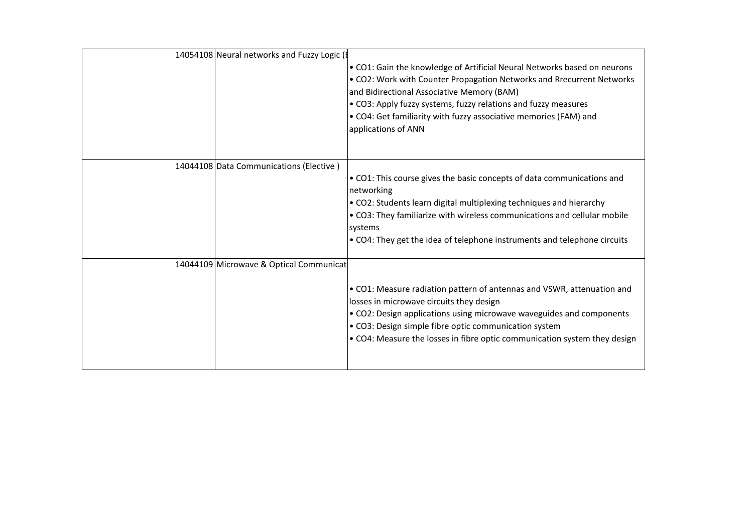| 14054108 Neural networks and Fuzzy Logic ( |                                                                                                                                                                                                                                                                                                                                                              |
|--------------------------------------------|--------------------------------------------------------------------------------------------------------------------------------------------------------------------------------------------------------------------------------------------------------------------------------------------------------------------------------------------------------------|
|                                            | • CO1: Gain the knowledge of Artificial Neural Networks based on neurons<br>• CO2: Work with Counter Propagation Networks and Rrecurrent Networks<br>and Bidirectional Associative Memory (BAM)<br>• CO3: Apply fuzzy systems, fuzzy relations and fuzzy measures<br>• CO4: Get familiarity with fuzzy associative memories (FAM) and<br>applications of ANN |
| 14044108 Data Communications (Elective)    | • CO1: This course gives the basic concepts of data communications and<br>networking<br>. CO2: Students learn digital multiplexing techniques and hierarchy<br>• CO3: They familiarize with wireless communications and cellular mobile<br>systems<br>• CO4: They get the idea of telephone instruments and telephone circuits                               |
| 14044109 Microwave & Optical Communicat    | • CO1: Measure radiation pattern of antennas and VSWR, attenuation and<br>losses in microwave circuits they design<br>• CO2: Design applications using microwave waveguides and components<br>• CO3: Design simple fibre optic communication system<br>• CO4: Measure the losses in fibre optic communication system they design                             |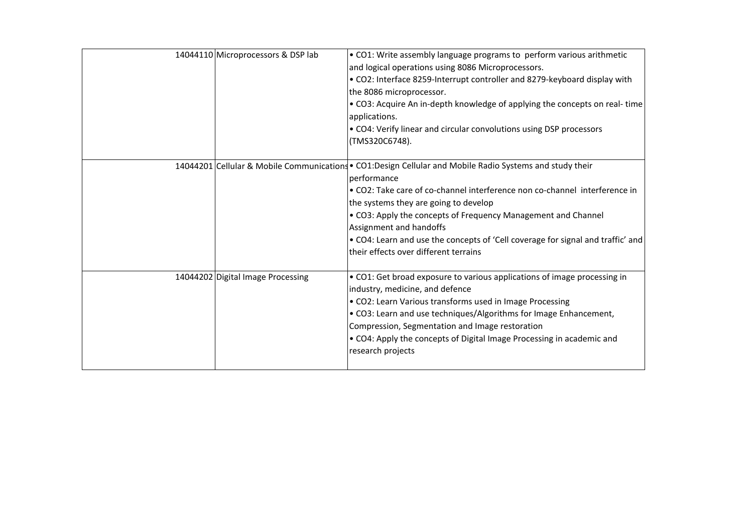| 14044110 Microprocessors & DSP lab | . CO1: Write assembly language programs to perform various arithmetic<br>and logical operations using 8086 Microprocessors.<br>. CO2: Interface 8259-Interrupt controller and 8279-keyboard display with<br>the 8086 microprocessor.<br>• CO3: Acquire An in-depth knowledge of applying the concepts on real-time<br>applications.<br>• CO4: Verify linear and circular convolutions using DSP processors<br>(TMS320C6748).                                           |
|------------------------------------|------------------------------------------------------------------------------------------------------------------------------------------------------------------------------------------------------------------------------------------------------------------------------------------------------------------------------------------------------------------------------------------------------------------------------------------------------------------------|
|                                    | 14044201 Cellular & Mobile Communications • CO1:Design Cellular and Mobile Radio Systems and study their<br>performance<br>• CO2: Take care of co-channel interference non co-channel interference in<br>the systems they are going to develop<br>• CO3: Apply the concepts of Frequency Management and Channel<br>Assignment and handoffs<br>. CO4: Learn and use the concepts of 'Cell coverage for signal and traffic' and<br>their effects over different terrains |
| 14044202 Digital Image Processing  | • CO1: Get broad exposure to various applications of image processing in<br>industry, medicine, and defence<br>• CO2: Learn Various transforms used in Image Processing<br>. CO3: Learn and use techniques/Algorithms for Image Enhancement,<br>Compression, Segmentation and Image restoration<br>• CO4: Apply the concepts of Digital Image Processing in academic and<br>research projects                                                                          |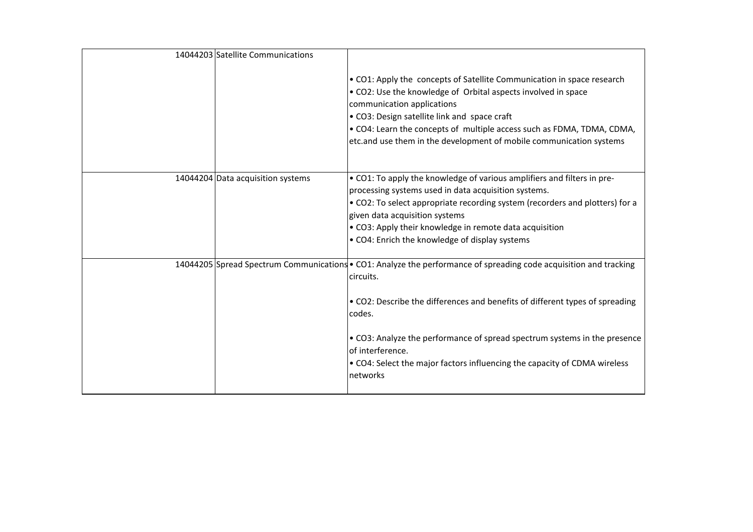| 14044203 Satellite Communications |                                                                                                                                                                                                                                                                                                                                                                                                                    |
|-----------------------------------|--------------------------------------------------------------------------------------------------------------------------------------------------------------------------------------------------------------------------------------------------------------------------------------------------------------------------------------------------------------------------------------------------------------------|
|                                   | • CO1: Apply the concepts of Satellite Communication in space research<br>• CO2: Use the knowledge of Orbital aspects involved in space<br>communication applications<br>• CO3: Design satellite link and space craft<br>. CO4: Learn the concepts of multiple access such as FDMA, TDMA, CDMA,<br>etc.and use them in the development of mobile communication systems                                             |
| 14044204 Data acquisition systems | • CO1: To apply the knowledge of various amplifiers and filters in pre-<br>processing systems used in data acquisition systems.<br>• CO2: To select appropriate recording system (recorders and plotters) for a<br>given data acquisition systems<br>• CO3: Apply their knowledge in remote data acquisition<br>• CO4: Enrich the knowledge of display systems                                                     |
|                                   | 14044205 Spread Spectrum Communications • CO1: Analyze the performance of spreading code acquisition and tracking<br>circuits.<br>• CO2: Describe the differences and benefits of different types of spreading<br>codes.<br>• CO3: Analyze the performance of spread spectrum systems in the presence<br>of interference.<br>• CO4: Select the major factors influencing the capacity of CDMA wireless<br>networks |